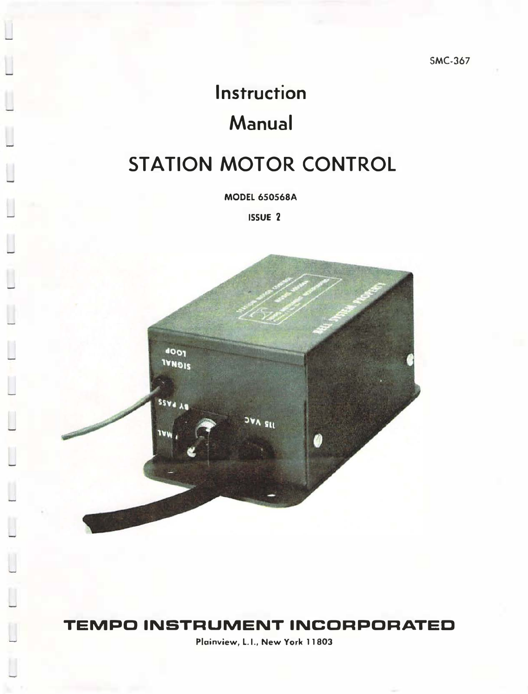SMC-367

# **Instruction** Manual

## STATION MOTOR CONTROL

MODEL 650568A

ISSUE 2



## TEMPO INSTRUMENT INCORPORATED

Plainview, L.l., New York 11803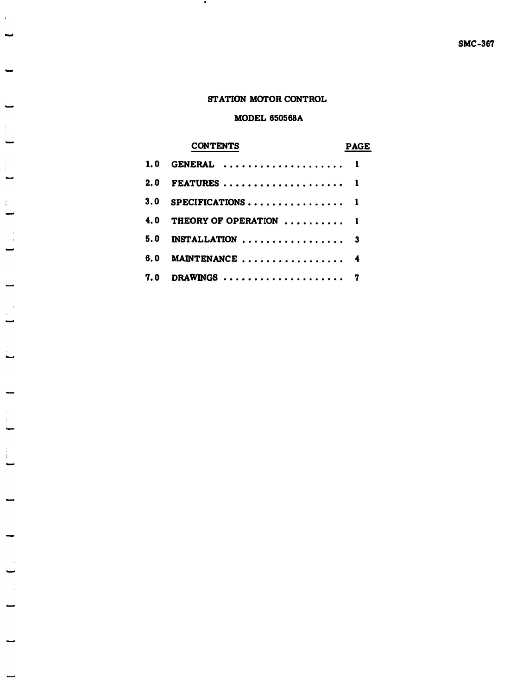#### STATION MOTOR CONTROL

### MODEL 650568A

## **CONTENTS**

 $\bullet$ 

-

 $\hat{\mathbf{r}}$ 

-

 $\frac{1}{4}$ 

 $\mathbf{I}$ 

÷

### PAGE

| 1.0 GENERAL  1             |  |
|----------------------------|--|
| 2.0 FEATURES  1            |  |
| 3.0 SPECIFICATIONS 1       |  |
| 4.0 THEORY OF OPERATION  1 |  |
| $5.0$ INSTALLATION  3      |  |
| 6.0 MAINTENANCE  4         |  |
| 7.0 DRAWINGS  7            |  |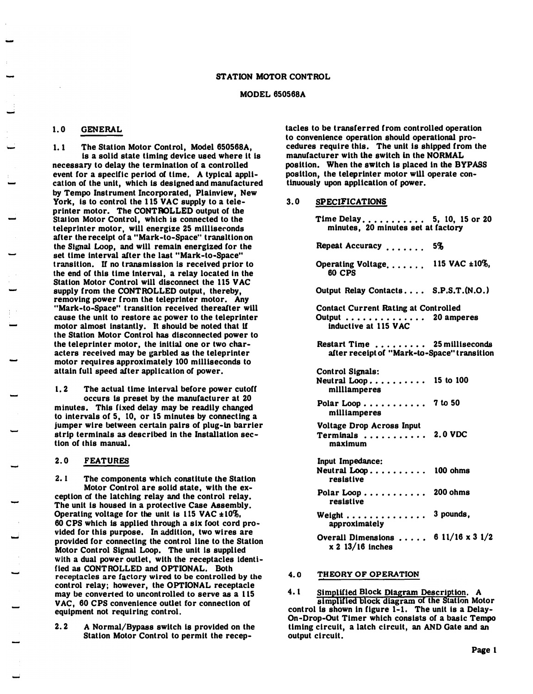#### MODEL 650568A

#### 1.0 GENERAL

1. 1 The Station Motor Control, Model 650568A, is a solid state timing device used where lt is necessary to delay the termination of a controlled event for a specific period of time. A typical application or the unit, which is designed and manufactured by Tempo Instrument Incorporated, Plainview, New York, is to control the 115 VAC supply to a teleprinter motor. The CONTROLLED output of the Station Motor Control, which is connected to the teleprinter motor, will energize 25 milliseconds after the receipt of a "Mark-to-Space" transltion on the Signal Loop, and will remain energized for the set time interval after the last "Mark-to-Space" transition. If no transmission is received prior to the end of this time interval, a relay located in the Station Motor Control will disconnect the 115 VAC supply from the CONTROLLED output, thereby, removing power from the teleprinter motor. Any "Mark-to-Space" transition received thereafter will cause the unit to restore ac power to the teleprinter motor almost instantly. It should be noted that lf the Statton Motor Control has disconnected power to the teleprinter motor, the initial one or two characters received may be garbled as the teleprinter motor requires approximately 100 milliseconds to attain full speed after application or power.

1. 2 The actual time interval before power cutoff occurs Is preset by the manufacturer at 20 minutes. This fixed delay may be readily changed to intervals of  $5$ ,  $10$ , or  $15$  minutes by connecting a jumper wire between certain pairs of plug-in barrier strip terminals as described in the Installation section of this manual.

#### 2. 0 FEATURES

2. 1 The components which constitute the Station Motor Control are solid slate, with the exception of the latching relay and the control relay. The unit is housed in a protective Case Assembly. Operating voltage for the unit is 115 VAC  $\pm 10\%$ . 60 CPS which is applied through a six foot cord provided for this purpose. In addition, two wires are provided for connecting the control line to the Statton Motor Control Signal Loop. The unit is supplied with a dual power outlet, with the receptacles identified as CONTROLLED and OPTIONAL. Both receptacles are factory wired to be controlled by the control relay; however, the OPTIONAL receptacle may be converted to uncontrolled to serve as a 115 VAC, 60 CPS convenience outlet for connection of equipment not requiring control.

2. 2 A Normal/Bypass switch is provided on the Station Motor Control to permit the receptacles to be transferred from controlled operation to convenience operation should operational procedures require this. The unit is shipped from the manufacturer with the switch ln the NORMAL position. When the switch is placed in the BYPASS posltlon, the teleprinter motor wUl operate continuously upon appllcation of power.

#### 3. 0 SPECIFICATIONS

| Time Delay 5, 10, 15 or 20<br>minutes, 20 minutes set at factory                 |
|----------------------------------------------------------------------------------|
| Repeat Accuracy<br>5%                                                            |
| Operating Voltage 115 VAC ±10%,<br>60 CPS                                        |
| Output Relay Contacts S.P.S.T.(N.O.)                                             |
| <b>Contact Current Rating at Controlled</b>                                      |
| Restart Time  25 milliseconds<br>after receipt of "Mark-to-Space" transition     |
| Control Signals:<br>Neutral Loop 15 to 100<br>milliamperes                       |
| Polar Loop 7 to 50<br>milliamperes                                               |
| Voltage Drop Across Input<br>Terminals $\ldots \ldots \ldots$ 2.0 VDC<br>maximum |
| Input Impedance:<br>Neutral Loop 100 ohms<br>resistive                           |
| Polar Loop 200 ohms<br>resistive                                                 |
| Weight 3 pounds,<br>approximately                                                |
| Overall Dimensions $6 \frac{11}{16} \times 3 \frac{1}{2}$<br>$x 2 13/16$ inches  |

#### 4. 0 THEORY OF OPERATION

4.1 Simplified Block Diagram Description. A simplified block diagram of the Station Motor control is shown in figure 1-1. The unit is a Delay-On-Drop-Out Timer which consists of a basic Tempo timing circuit, a latch circuit, an AND Gate and an output circuit.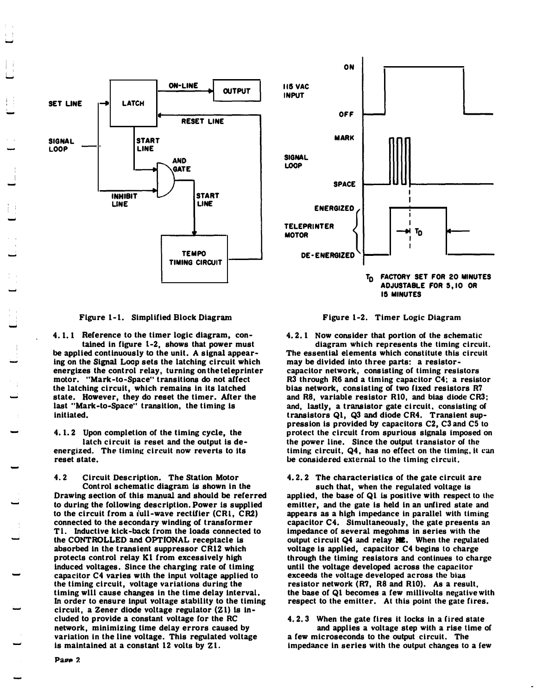

Page 2





4. 1. 1 Reference to the timer logic diagram, contained in figure 1-2, shows that power must be applied continuously to the unit. A signal appearing on the Signal Loop sets the latching circuit which energizes the control relay, turning on the teleprinter motor. "Mark-to-Space" transitions do not affect the latching circuit, which remains in its latched state. However, they do reset the timer. After the last "Mark-to-Space" transition, the timing is initiated.

4. 1. 2 Upon completion of the timing cycle, the latch circuit is reset and the output is deenergized. The timing circuit now reverts to its reset state.

4. 2 Circuit Description. The Station Motor Control schematic diagram is shown in the Drawing section of this manual and should be referred to during the following description. Power is supplied to the circult from a iull-wave rectUier (CRl, CR2) connected to the secondary winding of transformer T1. Inductive kick-back from the loads connected to the CONTROLLED and OPTIONAL receptacle is absorbed in the transient suppressor CR12 which protects control relay Kl from excessively high induced voltages. Since the charging rate of timing capacitor C4 varies with the input voltage applied to the timing circuit, voltage variations during the timing wlll cause changes in the time delay Interval. In order to ensure input voltage stability to the timing circuit, a Zener diode voltage regulator  $(21)$  is included to provide a constant voltage for the RC network, minimizing time delay errors caused by variation in the line voltage. This regulated voltage is maintained at a constant 12 volts by Z1.



US MINUTES



4.2.1 Now consider that portion of the schematic diagram which represents the timing circuit. The essential elements which constitute this circuit may be divided into three parts: a resistorcapacitor network, consisting of timing resistors  $R3$  through R6 and a timing capacitor  $C4$ ; a resistor bias network, consisting of two fixed resistors R7 and R8, variable resistor RIO, and bias diode CR3: and, lastly, a transistor gate circuit, consisting of transistors Ql, Q3 and diode CR4. Transient suppression is provided by capacitors C2, C3 and C5 to protect the circuit from spurious signals imposed on the power line. Since the output transistor of the timing circuit,  $Q4$ , has no effect on the timing, it can be considered external to the tlming circuit.

## 4. 2. 2 The characteristics of the gate circuit are

such that, when the regulated voltage is applied, the base of Ql is positive with respect to the emitter, and the gate is held in an unfired state and appears as a high impedance in parallel with timing capacitor C4. Simultaneously, the gate presents an impedance of several megohms in series with the output circuit Q4 and relay M2. When the regulated voltage is applied, capacitor C4 begins to charge through the timing resistors and continues to charge until the voltage developed across the capacitor exceeds the voltage developed across the bias resistor network (R7, R8 and RlO). As a result, the base of Ql becomes a few millivolts negative with respect to the emitter. At this point the gate fires.

4. 2. 3 When the gate fires lt locks in a fired state and applies a voltage step with a rise time of a few microseconds to the output circuit. The impedance in series with the output changes to a few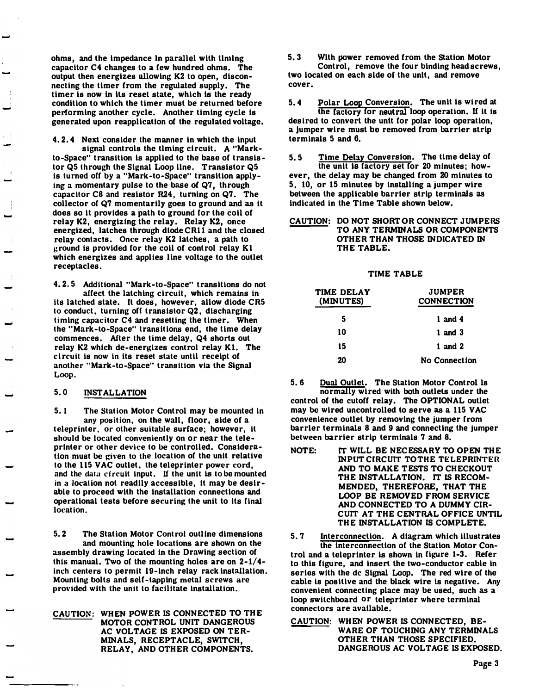ohms, and the impedance in parallel with timing capacitor C4 changes to a few hundred ohms. The output then energizes allowing K2 to open, disconnecting the timer from the regulated supply. The timer is now in its reset state, which is the ready condition to which the timer must be returned before performing another cycle. Another timing cycle is generated upon reapplication of the regulated voltage.

4. 2. 4 Next consider the manner in which the input

signal controls the tlming circuit. A "Markto-Space" transition is applied to the base of transistor Q5 through the Signal Loop llne. Transistor Q5 is turned off by a "Mark-to-Space" transition applying a momentary pulse to the base of  $Q7$ , through <sup>c</sup>apacitor C8 and resistor R24, turning on Q7. The collector of Q7 momentarily goes to ground and as it does so it provides a path to ground for the coil of relay K2, energizing the relay. Relay K2, once energized, latches through diodeCRll and the closed relay contacts. Once relay K2 latches, a path <sup>t</sup><sup>o</sup> ground is provided for the coil of control relay K1 which energizes and applies line voltage to the outlet receptacles.

4. 2. 5 Additional "Mark-to-Space" transitions do not affect the latching circuit, which remains in its latched state. It does, however, allow diode CR5 to conduct, turning off transistor  $Q2$ , discharging timing capacitor C4 and resetting the timer. When the "Mark-to-Space" transitions end, the time delay commences. After the time delay, Q4 shorts out relay K2 which de-energizes control relay Kl. The cl rcuit is now in its reset state until receipt of another "Mark-to-Space" transition via the Signal Loop.

#### 5. 0 INSTALLATION

-

-

-

-

5. 1 The Station Motor Control may be mounted in any position, on the wall, floor, side of a teleprinter, or other suitable surface; however, it should be located conveniently on or near the teleprinter or other device to be controlled. Consideration must be given to the location of the unit relative to the l15 VAC outlet, the teleprinter power cord, and the data circuit input. If the unit is to be mounted in a location not readily accessible, it may be desirable to proceed with the installation connections and operational tests before securing the unit to Its final location.

5. 2 The Station Motor Control outline dimensions and mounting hole locations are shown on the assembly drawing located in the Drawing section of this manual. Two of the mounting holes are on  $2-1/4$ inch centers to permit 19-inch relay rack installation. Mounting bolts and <sup>s</sup>elf-tapping metal screws are provided with the unit to facilitate installation.

CAUTION: WHEN POWER IS CONNECTED TO THE MOTOR CONTROL UNIT DANGEROUS AC VOLTAGE IS EXPOSED ON TER-MINALS, RECEPTACLE, SWITCH, RELAY, AND OTHER COMPONENTS.

5. 3 Wllh power removed from the Station Motor Control, remove the four binding head screws, two located on each side of the unit, and remove cover.

5. 4 Polar Loop Conversion. The unit is wired at the factory for neutral loop operation. If it is desired to convert the untt for polar loop operation, a jumper wire must bo removed from barrier strip terminals 5 and 6.

5. 5 Time Delay Conversion. The time delay of the unit Is factory set for 20 minutes; however, the delay may be changed from 20 minutes to 5, 10, or 15 minutes by installing a jumper wire between the applicable barrier strip terminals as indicated in the Time Table shown below.

#### CAUTION: DO NOT SHORT OR CONNECT JUMPERS TO ANY TERMINALS OR COMPONENTS OTHER THAN THOSE INDICATED IN THE TABLE.

#### TIME TABLE

| TIME DELAY<br>(MINUTES) | JUMPER<br><b>CONNECTION</b> |  |  |
|-------------------------|-----------------------------|--|--|
| 5                       | $1$ and $4$                 |  |  |
| 10                      | $1$ and $3$                 |  |  |
| 15                      | $1$ and $2$                 |  |  |
| 20                      | <b>No Connection</b>        |  |  |

5. 6 Dual Outlet. The Station Motor Control is normally wired with both outlets under the control of the cutoff relay. The OPTIONAL outlet may be wired uncontrolled to serve as a 115 VAC convenience outlet by removing the jumper from barrler terminals 8 and 9 and connecting the jumper between barrier strip terminals 7 and 8.

- NOTE: IT WILL BE NECESSARY TO OPEN THE INPUTCIRCUIT TO THE TELEPRINTER AND TO MAKE TESTS TO CHECKOUT THE INSTALLATION. IT IS RECOM-MENDED, THEREFORE, THAT THE LOOP BE REMOVED FROM SERVICE AND CONNECTED TO A DUMMY CIR-CUIT AT THE CENTRAL OFFICE UNTIL THE INSTALLATION IS COMPLETE.
- 5. 7 Interconnection. A diagram which illustrates the interconnection of the Station Motor Control and a teleprinter is shown in figure 1-3. Refer to this figure, and insert the two-conductor cable in series with the de Signal Loop. The red wire of the cable is positive and the black wire is negative. Any convenient connecting place may be used, such as a loop switchboard or teleprinter where terminal connectors are available.
- CAUTION: WHEN POWER IS CONNECTED, BE-WARE OF TOUCHING ANY TERMINALS OTHER THAN THOSE SPECIFIED. DANGEROUS AC VOLTAGE IS EXPOSED.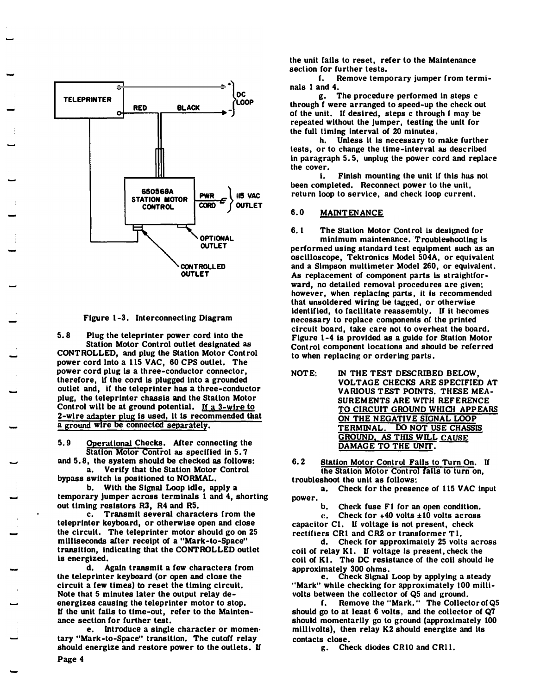

#### Figure 1-3. Interconnecting Diagram

5. 8 Plug the teleprinter power cord into the Station Motor Control outlet designated as CONTROLLED, and plug the Station Motor Control power cord lnto a 115 VAC, 60 CPS outlet. The power cord plug is a three-conductor connector, therefore, if the cord is plugged into a grounded outlet and, lf the teleprinter has a three-conductor plug, the teleprinter chassis and the Statton Motor Control will be at ground potential. If  $a^2$ -wire to 2-wlre adapter plug Is used, lt 1s recommended that a ground wire be connected separately.

5. 9 Operational Checks. After connecting the Station Motor Control as specified in 5. 7

and 5. 8, the system should be checked as follows: a. Verify that the Station Motor Control bypass switch is positioned to NORMAL.

b. With the Signal Loop idle, apply a temporary jumper across terminals 1 and 4, shorting out timing resistors R3, R4 and R5.

c. Transmit several characters from the teleprinter keyboard, or otherwise open and close the circuit. The teleprinter motor should go on 25 milliseconds after receipt of a "Mark-to-Space" transition, indicating that the CONTROLLED outlet is energized.

d, Again transmit a few characters from the teleprinter keyboard (or open and close the circuit a few times) to reset the timing circuit. Note that 5 minutes later the output relay deenergizes causing the teleprinter motor to stop. If the unit falls to time-out, refer to the Maintenance section for further test.

e. Introduce a single character or momen· tary "Mark-to-Space" transition. The cutoff relay should energize and restore power to the outlets. If

the unit fails to reset, refer to the Maintenance section for further tests.<br>f. Remove temp

Remove temporary jumper from terminals 1 and 4.

g. The procedure performed In steps c through f were arranged to speed-up the check out of the unit. If desired, steps c through f may be repeated without the jumper, testing the unit for the full timing interval of 20 minutes.

h. Unless it is necessary to make further tests, or to change the time-interval as described in paragraph  $5.5$ , unplug the power cord and replace the cover.

i. Finish mounting the unit lf this has not been completed. Reconnect power to the unlt, return loop to service, and check loop current.

#### 6.0 MAINTENANCE

- 6.1 The Station Motor Control is designed for minimum maintenance. Troubleshooting is performed using standard test equipment such as an oscllloscope, Tektronics Model 504A, or equivalent and a Simpson multimeter Model 260, or equivalent. As replacement of component parts is straightforward, no detailed removal procedures are given: however, when replacing parts, it is recommended that unsoldered wiring be tagged, or otherwise identified, to facilitate reassembly. If it becomes necessary to replace components of the printed circuit board, take care not to overheat the board. Figure 1-4 is provided as a guide for Station Motor Control component locations and should be referred to when replacing or ordering parts .
- NOTE: IN THE TEST DESCRIBED BELOW, VOLTAGE CHECKS ARE SPECIFIED AT VARIOUS TEST POINTS. THESE MEA-SUREMENTS ARE WITH REFERENCE TO CIRCUIT GROUND WHICH APPEARS ON THE NEGATIVE SIGNAL LOOP<br>TERMINAL. DO NOT USE CHASSI DO NOT USE CHASSIS GROUND, AS THIS WILL CAUSE DAMAGE TO THE UNIT.
- 6. 2 Station Motor Control Fails to Turn On. If the Station Motor Control fails to turn on. troubleshoot the unit as follows:

a. Check for the presence of 115 VAC input power.

Check fuse F1 for an open condition.

c. Check for  $+40$  volts  $\pm 10$  volts across capacitor Cl. U voltage is not present, check rectifiers CR1 and CR2 or transformer T1.

d. Check for approximately 25 volts across coil of relay K1. If voltage is present, check the coil of Kl. The DC resistance of the coil should be approximately 300 ohms.

e. Check Signal Loop by applying a steady "Mark" while checking for approximately 100 millivolls between the collector of Q5 and ground.

f. Remove the "Mark." The Collector ofQ5 should go to at least 6 volts, and the collector of Q7 should momentarily go to ground (approximately 100 millivolts), then relay K2 should energize and its contacts close.

g. Check diodes CRlO and CRl l.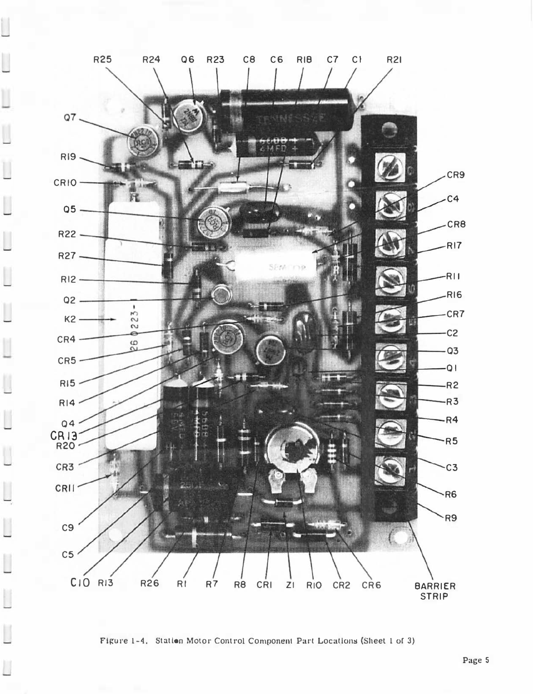

Figure 1-4. Station Motor Control Component Part Locations (Sheet 1 of 3)

-...

Ħ

Ħ

H Ł.

Π

L

Ħ

l

L

Ħ

Π

L

Ħ

J

 $\overline{\phantom{a}}$ 

L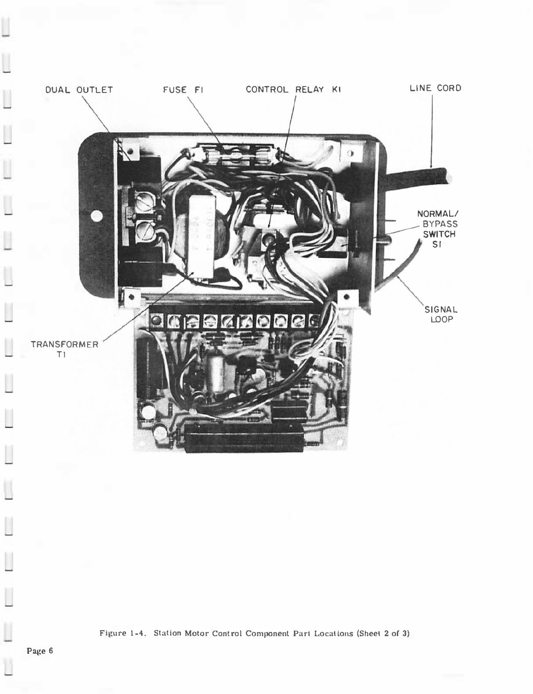

U

 $\Box$ 

 $\begin{array}{c} \hline \end{array}$ 

U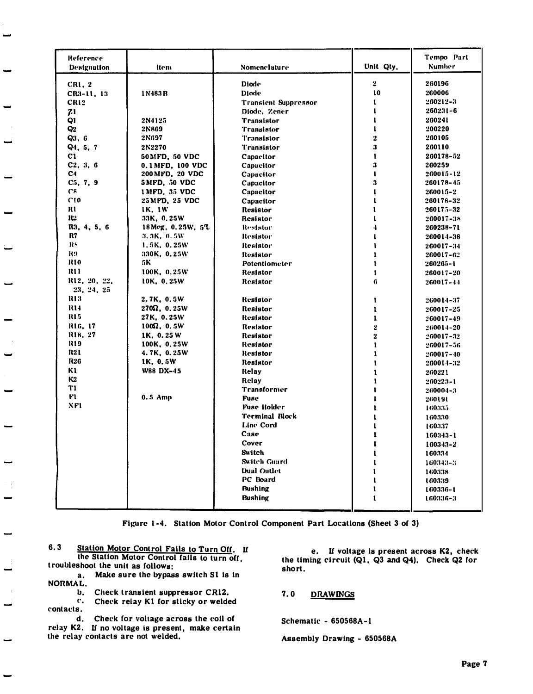| Reference            |                       |                             |                | Tempo Part    |
|----------------------|-----------------------|-----------------------------|----------------|---------------|
| Designation          | ltem                  | Nomenclature                | Unit Qty.      | <b>Number</b> |
|                      |                       |                             |                |               |
| CR1, 2               |                       | <b>Diode</b>                | $\mathbf{2}$   | 260196        |
| CR3-11, 13           | 1 N 483 B             | <b>Diode</b>                | 10             | 260006        |
| CR12                 |                       | <b>Translent Suppressor</b> | $\mathbf{1}$   | 260212-3      |
| 71                   |                       | Diode. Zener                | $\mathbf{I}$   | $260231 - 6$  |
| Q1                   | 2N4125                | <b>Transistor</b>           | $\mathbf{I}$   | 260241        |
| Q2                   | 2N869                 | <b>Transistor</b>           | $\mathbf{1}$   | 200220        |
| Q3, 6                | 2N697                 | <b>Transistor</b>           | $\overline{2}$ | 260105        |
| $Q_4$ , 5, 7         | 2N2270                | <b>Transistor</b>           | 3              | 260110        |
| C1                   | 50MFD, 50 VDC         | Capacitor                   | $\mathbf{1}$   | 260178-52     |
| C2, 3, 6             | 0.1 MFD, 100 VDC      | Capacitor                   | 3              | 260259        |
| C4                   | 200 MFD, 20 VDC       | Capacitor                   | $\mathbf{1}$   | 260015-12     |
| $C_5$ , $7$ , $9$    | 5 MFD, 50 VDC         | Capacitor                   | 3              | 260178-45     |
| C <sup>s</sup>       | 1 MFD, 35 VDC         | Capacitor                   | 1              | 260015-2      |
| C10                  | 25 MPD, 25 VDC        | Capacitor                   | $\mathbf{I}$   | 260178-32     |
| R1                   | <b>IK, IW</b>         | <b>Resistor</b>             | 1              | 260175-32     |
| <b>R2</b>            | 33K, 0.25W            | Resistor                    |                | 260017-38     |
| R3, 4, 5, 6          | 18 Meg, 0.25W, 5%     | Resistor                    | 4              | 260236-71     |
| R7                   | 3.3K, 0.5W            | Resistor                    | ı              | 260014-38     |
| RS                   | 1.5K, 0.25W           | Resistor                    | $\mathbf{1}$   | 260017-34     |
| R9                   | 330K, 0.25W           | Resistor                    | $\mathbf{1}$   | 260017-62     |
| <b>R10</b>           | 5K                    | Potentiometer               | $\mathbf{1}$   | 260265-1      |
| R11                  | 100K, 0.25W           | Resistor                    | 1              | 260017-20     |
| R12, 20, 22,         | 10K, 0.25W            | Resistor                    | 6              | 260017-44     |
| 23, 24, 25           |                       |                             |                |               |
| RI3                  | 2.7K, 0.5W            | Resistor                    | ı              | 260014-37     |
| R14                  | $270\Omega$ , $0.25W$ | <b>Resistor</b>             | ı              | 260017-25     |
| R15                  | 27K, 0.25W            | Resistor                    | $\mathbf{1}$   | 260017-49     |
| R16, 17              | $100\Omega$ , $0.5W$  | Resistor                    | 2              | 260014-20     |
| R <sub>18</sub> , 27 | 1K, 0.25W             | Resistor                    | 2              | 260017-32     |
| R19                  | 100K, 0.25W           | Resistor                    | 1              | 260017-56     |
| R21                  | 4.7K, 0.25W           | Resistor                    | $\mathbf{1}$   | 260017-40     |
| <b>R26</b>           | 1K, 0.5W              | Resistor                    | $\mathbf{1}$   | 260014-32     |
| K1                   | W88 DX-45             | Relay                       | ı              | 260221        |
| К2                   |                       | Relay                       | $\mathbf{1}$   | $260223 - 1$  |
| T1                   |                       | Transformer                 | 1              | 260004-3      |
| F1                   | $0.5$ Amp             | <b>Fuse</b>                 | ı              | 260191        |
| XF1                  |                       | <b>Fuse Holder</b>          | ı              | 160335        |
|                      |                       | Terminal Block              | ı              | 160330        |
|                      |                       | Line Cord                   |                | 160337        |
|                      |                       | Case                        | ı              | $160343 - 1$  |
|                      |                       | Cover                       |                | 160343-2      |
|                      |                       | Switch                      |                | 160334        |
|                      |                       | Switch Guard                |                | 160343-3      |
|                      |                       | <b>Dual Outlet</b>          |                | 160338        |
|                      |                       | PC Board                    |                | 160339        |
|                      |                       | <b>Bushing</b>              |                | 160336-1      |
|                      |                       | Bushing                     | ı              | 160336-3      |
|                      |                       |                             |                |               |

Figure 1-4. Station Motor Control Component Part Locations (Sheet 3 of 3)

 $6.3$ Station Motor Control Fails to Turn Off. If the Station Motor Control fails to turn off, troubleshoot the unit as follows:

a. Make sure the bypass switch S1 is in NORMAL.

b. Check transient suppressor CR12.

 $\mathbf{c}_{\bullet}$ Check relay K1 for sticky or welded contacts.

Check for voltage across the coil of d. relay K2. If no voltage is present, make certain the relay contacts are not welded.

e. If voltage is present across K2, check the timing circuit (Q1, Q3 and Q4). Check Q2 for short.

**DRAWINGS**  $7.0$ 

Schematic - 650568A-1

Assembly Drawing - 650568A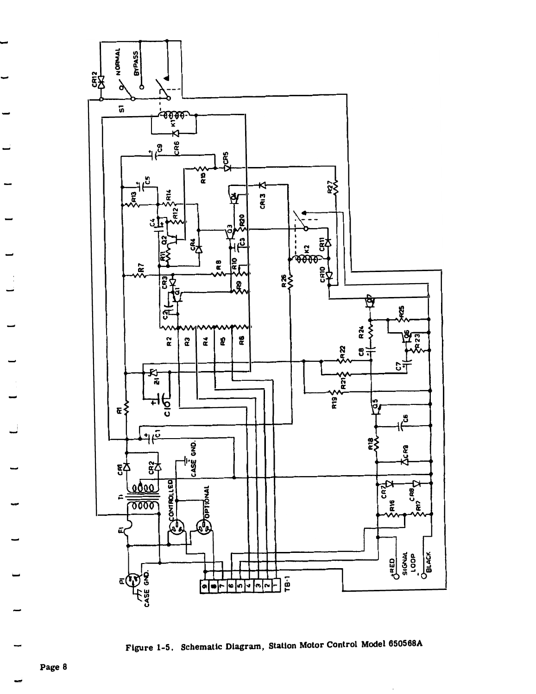



Page 8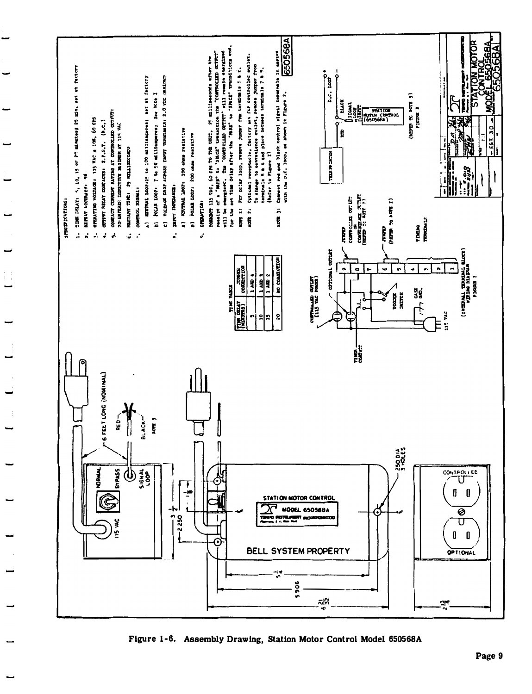



Page 9